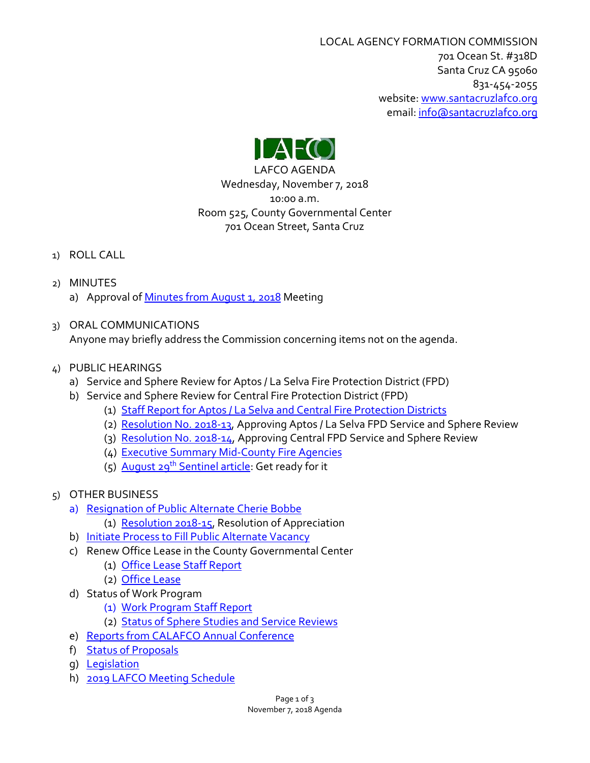LOCAL AGENCY FORMATION COMMISSION 701 Ocean St. #318D Santa Cruz CA 95060 831-454-2055 website: [www.santacruzlafco.org](http://www.santacruzlafco.org/) email[: info@santacruzlafco.org](mailto:info@santacruzlafco.org)



LAFCO AGENDA Wednesday, November 7, 2018 10:00 a.m. Room 525, County Governmental Center 701 Ocean Street, Santa Cruz

- 1) ROLL CALL
- 2) MINUTES a) Approval of [Minutes from August 1,](https://www.santacruzlafco.org/wp-content/uploads/2018/11/2a-8-1-18-Minutes.pdf) 2018 Meeting
- 3) ORAL COMMUNICATIONS

Anyone may briefly address the Commission concerning items not on the agenda.

- 4) PUBLIC HEARINGS
	- a) Service and Sphere Review for Aptos / La Selva Fire Protection District (FPD)
	- b) Service and Sphere Review for Central Fire Protection District (FPD)
		- (1) [Staff Report for Aptos / La Selva and Central Fire Protection Districts](https://www.santacruzlafco.org/wp-content/uploads/2018/11/4b1-Aptos-Central-Staff.pdf)
		- (2) [Resolution No. 2018-13,](https://www.santacruzlafco.org/wp-content/uploads/2018/11/4b2-2018-13.pdf) Approving Aptos / La Selva FPD Service and Sphere Review
		- (3) [Resolution No. 2018-14,](https://www.santacruzlafco.org/wp-content/uploads/2018/11/4b3-2018-14.pdf) Approving Central FPD Service and Sphere Review
		- (4) [Executive Summary Mid-County Fire Agencies](https://www.santacruzlafco.org/wp-content/uploads/2018/11/4b4-Executive-Summary.pdf)
		- (5) August 29<sup>th</sup> [Sentinel article:](https://www.santacruzlafco.org/wp-content/uploads/2018/11/4b5-Sentinel-Fire-Forum.pdf) Get ready for it
- 5) OTHER BUSINESS
	- a) [Resignation of Public Alternate Cherie Bobbe](https://www.santacruzlafco.org/wp-content/uploads/2018/11/5a-Bobbe-Resignation-Staff.pdf)
		- (1) [Resolution 2018-15,](https://www.santacruzlafco.org/wp-content/uploads/2018/11/5a1-2018-15-Bobbe.pdf) Resolution of Appreciation
	- b) [Initiate Process to Fill Public Alternate Vacancy](https://www.santacruzlafco.org/wp-content/uploads/2018/11/5b-Alternate-Process-Staff-Policy.pdf)
	- c) Renew Office Lease in the County Governmental Center
		- (1) [Office Lease Staff Report](https://www.santacruzlafco.org/wp-content/uploads/2018/11/5c1-Lease-Staff-Report.pdf)
		- (2) [Office Lease](https://www.santacruzlafco.org/wp-content/uploads/2018/11/5c2-LAFCO-Lease.pdf)
	- d) Status of Work Program
		- (1) [Work Program Staff Report](https://www.santacruzlafco.org/wp-content/uploads/2018/11/5d1-Work-Program-Staff-Report.pdf)
		- (2) [Status of Sphere Studies and Service Reviews](https://www.santacruzlafco.org/wp-content/uploads/2018/11/5d2-Status-of-SOIs-MSRs.pdf)
	- e) [Reports from CALAFCO Annual Conference](https://www.santacruzlafco.org/wp-content/uploads/2018/11/5e-2018-CALAFCO-Conference-Reports-Program.pdf)
	- f) [Status of Proposals](https://www.santacruzlafco.org/wp-content/uploads/2018/11/5f-Status-of-Proposals.pdf)
	- g) [Legislation](https://www.santacruzlafco.org/wp-content/uploads/2018/11/5g-Legislation.pdf)
	- h) [2019 LAFCO Meeting Schedule](https://www.santacruzlafco.org/wp-content/uploads/2018/11/5h-2019-Meeting-Schedule.pdf)

Page 1 of 3 November 7, 2018 Agenda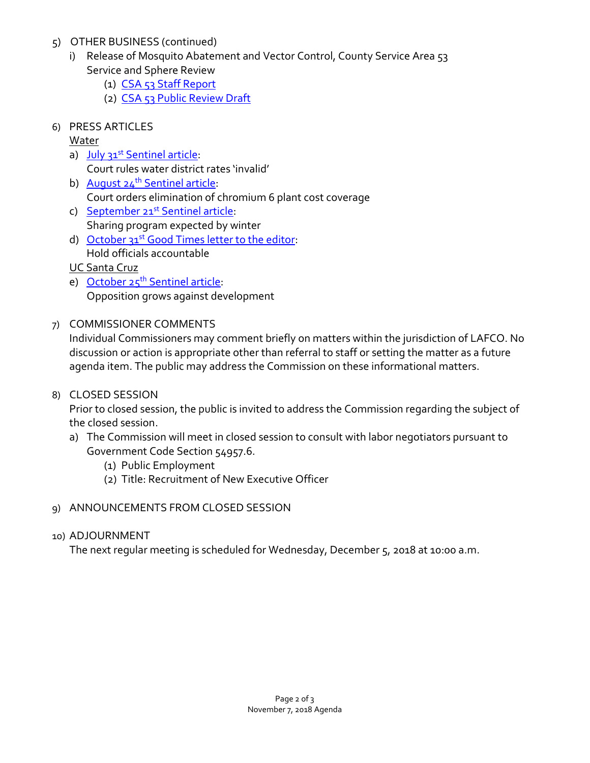- 5) OTHER BUSINESS (continued)
	- i) Release of Mosquito Abatement and Vector Control, County Service Area 53 Service and Sphere Review
		- (1) [CSA 53 Staff Report](https://www.santacruzlafco.org/wp-content/uploads/2018/11/5i1-CSA-53-Staff-Report.pdf)
		- (2) [CSA 53 Public Review Draft](https://www.santacruzlafco.org/wp-content/uploads/2018/11/5i2-CSA-53-Public-Review-Draft.pdf)
- 6) PRESS ARTICLES

Water

- a) July 31<sup>st</sup> [Sentinel article:](https://www.santacruzlafco.org/wp-content/uploads/2018/11/6a.pdf) Court rules water district rates 'invalid'
- b) August 24<sup>th</sup> Sentinel article: Court orders elimination of chromium 6 plant cost coverage
- c) September 21<sup>st</sup> Sentinel article: Sharing program expected by winter
- d) October 31<sup>st</sup> [Good Times letter to the editor:](https://www.santacruzlafco.org/wp-content/uploads/2018/11/6d.pdf) Hold officials accountable
- UC Santa Cruz
- e) October 25<sup>th</sup> [Sentinel article:](https://www.santacruzlafco.org/wp-content/uploads/2018/11/6e.pdf) Opposition grows against development
- 7) COMMISSIONER COMMENTS

Individual Commissioners may comment briefly on matters within the jurisdiction of LAFCO. No discussion or action is appropriate other than referral to staff or setting the matter as a future agenda item. The public may address the Commission on these informational matters.

8) CLOSED SESSION

Prior to closed session, the public is invited to address the Commission regarding the subject of the closed session.

- a) The Commission will meet in closed session to consult with labor negotiators pursuant to Government Code Section 54957.6.
	- (1) Public Employment
	- (2) Title: Recruitment of New Executive Officer
- 9) ANNOUNCEMENTS FROM CLOSED SESSION
- 10) ADJOURNMENT

The next regular meeting is scheduled for Wednesday, December 5, 2018 at 10:00 a.m.